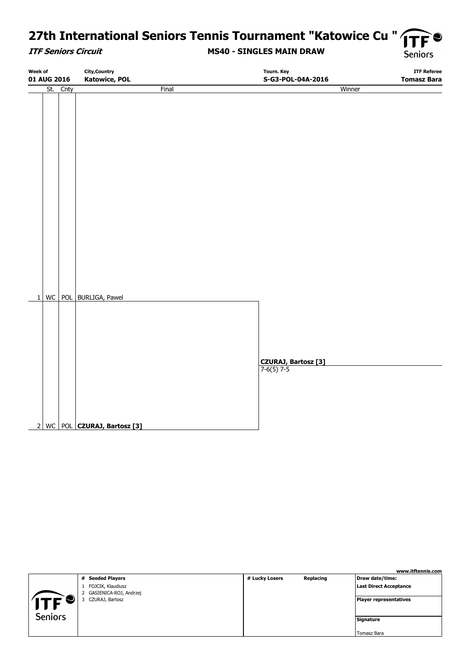# 27th International Seniors Tennis Tournament "Katowice Cu " TF

#### **ITF Seniors Circuit**

#### **MS40 - SINGLES MAIN DRAW**

**Seniors** 

| Week of              |      | <b>City, Country</b>           | Tourn. Key                               | <b>ITF Referee</b> |
|----------------------|------|--------------------------------|------------------------------------------|--------------------|
| 01 AUG 2016          |      | <b>Katowice, POL</b>           | S-G3-POL-04A-2016                        | <b>Tomasz Bara</b> |
| $\overline{st}$      | Cnty | Final                          |                                          | Winner             |
|                      |      |                                |                                          |                    |
|                      |      |                                |                                          |                    |
|                      |      |                                |                                          |                    |
|                      |      |                                |                                          |                    |
|                      |      |                                |                                          |                    |
|                      |      |                                |                                          |                    |
|                      |      |                                |                                          |                    |
|                      |      |                                |                                          |                    |
|                      |      |                                |                                          |                    |
|                      |      |                                |                                          |                    |
|                      |      |                                |                                          |                    |
|                      |      |                                |                                          |                    |
|                      |      |                                |                                          |                    |
|                      |      |                                |                                          |                    |
|                      |      |                                |                                          |                    |
|                      |      |                                |                                          |                    |
|                      |      |                                |                                          |                    |
|                      |      |                                |                                          |                    |
|                      |      |                                |                                          |                    |
|                      |      |                                |                                          |                    |
|                      |      |                                |                                          |                    |
| WC<br>$1\vert$       | POL  | BURLIGA, Pawel                 |                                          |                    |
|                      |      |                                |                                          |                    |
|                      |      |                                |                                          |                    |
|                      |      |                                |                                          |                    |
|                      |      |                                |                                          |                    |
|                      |      |                                |                                          |                    |
|                      |      |                                |                                          |                    |
|                      |      |                                | <b>CZURAJ, Bartosz [3]</b><br>7-6(5) 7-5 |                    |
|                      |      |                                |                                          |                    |
|                      |      |                                |                                          |                    |
|                      |      |                                |                                          |                    |
|                      |      |                                |                                          |                    |
|                      |      |                                |                                          |                    |
| WC<br>$\overline{2}$ |      | POL <b>CZURAJ, Bartosz</b> [3] |                                          |                    |
|                      |      |                                |                                          |                    |

|                |                                               |                |           | www.itftennis.com             |
|----------------|-----------------------------------------------|----------------|-----------|-------------------------------|
|                | # Seeded Players                              | # Lucky Losers | Replacing | Draw date/time:               |
|                | FOJCIK, Klaudiusz<br>2 GASIENICA-ROJ, Andrzej |                |           | <b>Last Direct Acceptance</b> |
|                | CZURAJ, Bartosz                               |                |           | Player representatives        |
| <b>Seniors</b> |                                               |                |           | Signature                     |
|                |                                               |                |           | Tomasz Bara                   |